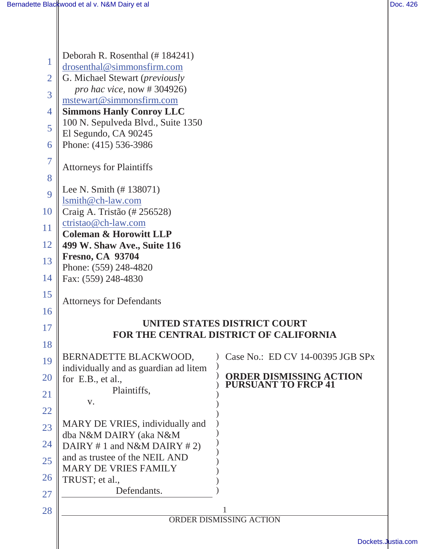Ш

|                | Deborah R. Rosenthal (# 184241)                                      |                                                              |  |  |
|----------------|----------------------------------------------------------------------|--------------------------------------------------------------|--|--|
|                | drosenthal@simmonsfirm.com                                           |                                                              |  |  |
| $\overline{2}$ | G. Michael Stewart ( <i>previously</i><br>pro hac vice, now #304926) |                                                              |  |  |
| 3              | mstewart@simmonsfirm.com                                             |                                                              |  |  |
| $\overline{4}$ | <b>Simmons Hanly Conroy LLC</b>                                      |                                                              |  |  |
| 5              | 100 N. Sepulveda Blvd., Suite 1350<br>El Segundo, CA 90245           |                                                              |  |  |
| 6              | Phone: (415) 536-3986                                                |                                                              |  |  |
| $\overline{7}$ |                                                                      |                                                              |  |  |
|                | <b>Attorneys for Plaintiffs</b>                                      |                                                              |  |  |
| 8              | Lee N. Smith $(\# 138071)$                                           |                                                              |  |  |
| 9              | lsmith@ch-law.com                                                    |                                                              |  |  |
| 10             | Craig A. Tristão (# 256528)                                          |                                                              |  |  |
| 11             | ctristao@ch-law.com<br><b>Coleman &amp; Horowitt LLP</b>             |                                                              |  |  |
| 12             | 499 W. Shaw Ave., Suite 116                                          |                                                              |  |  |
| 13             | <b>Fresno, CA 93704</b>                                              |                                                              |  |  |
| 14             | Phone: (559) 248-4820<br>Fax: (559) 248-4830                         |                                                              |  |  |
| 15             |                                                                      |                                                              |  |  |
| 16             | <b>Attorneys for Defendants</b>                                      |                                                              |  |  |
|                |                                                                      | UNITED STATES DISTRICT COURT                                 |  |  |
| 17             |                                                                      | FOR THE CENTRAL DISTRICT OF CALIFORNIA                       |  |  |
| 18             |                                                                      |                                                              |  |  |
| 19             | BERNADETTE BLACKWOOD,<br>individually and as guardian ad litem       | $\bigcirc$ Case No.: ED CV 14-00395 JGB SPx                  |  |  |
| 20             | for $E.B., et al.,$                                                  | <b>ORDER DISMISSING ACTION</b><br><b>PURSUANT TO FRCP 41</b> |  |  |
| 21             | Plaintiffs,                                                          |                                                              |  |  |
| 22             | V.                                                                   |                                                              |  |  |
| 23             | MARY DE VRIES, individually and                                      |                                                              |  |  |
| 24             | dba N&M DAIRY (aka N&M<br>DAIRY #1 and N&M DAIRY #2)                 |                                                              |  |  |
| 25             | and as trustee of the NEIL AND                                       |                                                              |  |  |
|                | <b>MARY DE VRIES FAMILY</b>                                          |                                                              |  |  |
| 26             | TRUST; et al.,<br>Defendants.                                        |                                                              |  |  |
| 27             |                                                                      |                                                              |  |  |
| 28             |                                                                      | ORDER DISMISSING ACTION                                      |  |  |
|                |                                                                      |                                                              |  |  |
|                |                                                                      | Dockets.Justia.com                                           |  |  |